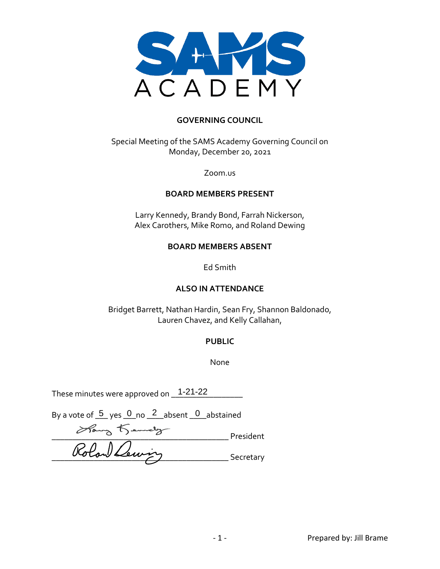

#### **GOVERNING COUNCIL**

Special Meeting of the SAMS Academy Governing Council on Monday, December 20, 2021

Zoom.us

#### **BOARD MEMBERS PRESENT**

Larry Kennedy, Brandy Bond, Farrah Nickerson, Alex Carothers, Mike Romo, and Roland Dewing

#### **BOARD MEMBERS ABSENT**

Ed Smith

#### **ALSO IN ATTENDANCE**

Bridget Barrett, Nathan Hardin, Sean Fry, Shannon Baldonado, Lauren Chavez, and Kelly Callahan,

#### **PUBLIC**

None

These minutes were approved on  $\_\_1$ 1-21-22  $\_\_$ 

By a vote of  $\frac{5}{2}$  yes  $\frac{0}{2}$  no  $\frac{2}{2}$  absent  $\frac{0}{2}$  abstained

\_\_\_\_\_\_\_\_\_\_\_\_\_\_\_\_\_\_\_\_\_\_\_\_\_\_\_\_\_\_\_\_\_\_\_\_\_\_\_\_\_\_ President  $\frac{\partial \omega \cos \theta}{\partial y}$  Secretary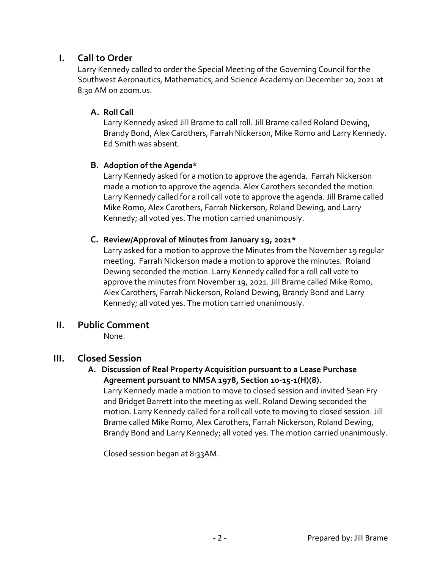# **I. Call to Order**

Larry Kennedy called to order the Special Meeting of the Governing Council for the Southwest Aeronautics, Mathematics, and Science Academy on December 20, 2021 at 8:30 AM on zoom.us.

## **A. Roll Call**

Larry Kennedy asked Jill Brame to call roll. Jill Brame called Roland Dewing, Brandy Bond, Alex Carothers, Farrah Nickerson, Mike Romo and Larry Kennedy. Ed Smith was absent.

## **B. Adoption of the Agenda\***

Larry Kennedy asked for a motion to approve the agenda. Farrah Nickerson made a motion to approve the agenda. Alex Carothers seconded the motion. Larry Kennedy called for a roll call vote to approve the agenda. Jill Brame called Mike Romo, Alex Carothers, Farrah Nickerson, Roland Dewing, and Larry Kennedy; all voted yes. The motion carried unanimously.

## **C. Review/Approval of Minutes from January 19, 2021\***

Larry asked for a motion to approve the Minutes from the November 19 regular meeting. Farrah Nickerson made a motion to approve the minutes. Roland Dewing seconded the motion. Larry Kennedy called for a roll call vote to approve the minutes from November 19, 2021. Jill Brame called Mike Romo, Alex Carothers, Farrah Nickerson, Roland Dewing, Brandy Bond and Larry Kennedy; all voted yes. The motion carried unanimously.

# **II. Public Comment**

None.

# **III. Closed Session**

#### **A. Discussion of Real Property Acquisition pursuant to a Lease Purchase Agreement pursuant to NMSA 1978, Section 10-15-1(H)(8).**

Larry Kennedy made a motion to move to closed session and invited Sean Fry and Bridget Barrett into the meeting as well. Roland Dewing seconded the motion. Larry Kennedy called for a roll call vote to moving to closed session. Jill Brame called Mike Romo, Alex Carothers, Farrah Nickerson, Roland Dewing, Brandy Bond and Larry Kennedy; all voted yes. The motion carried unanimously.

Closed session began at 8:33AM.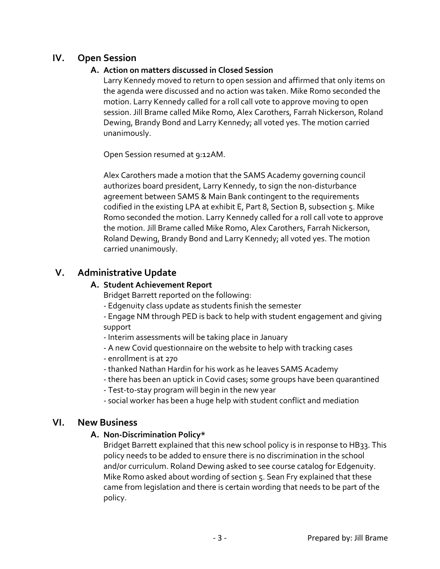# **IV. Open Session**

## **A. Action on matters discussed in Closed Session**

Larry Kennedy moved to return to open session and affirmed that only items on the agenda were discussed and no action was taken. Mike Romo seconded the motion. Larry Kennedy called for a roll call vote to approve moving to open session. Jill Brame called Mike Romo, Alex Carothers, Farrah Nickerson, Roland Dewing, Brandy Bond and Larry Kennedy; all voted yes. The motion carried unanimously.

Open Session resumed at 9:12AM.

Alex Carothers made a motion that the SAMS Academy governing council authorizes board president, Larry Kennedy, to sign the non-disturbance agreement between SAMS & Main Bank contingent to the requirements codified in the existing LPA at exhibit E, Part 8, Section B, subsection 5. Mike Romo seconded the motion. Larry Kennedy called for a roll call vote to approve the motion. Jill Brame called Mike Romo, Alex Carothers, Farrah Nickerson, Roland Dewing, Brandy Bond and Larry Kennedy; all voted yes. The motion carried unanimously.

# **V. Administrative Update**

#### **A. Student Achievement Report**

Bridget Barrett reported on the following:

- Edgenuity class update as students finish the semester

- Engage NM through PED is back to help with student engagement and giving support

- Interim assessments will be taking place in January
- A new Covid questionnaire on the website to help with tracking cases
- enrollment is at 270
- thanked Nathan Hardin for his work as he leaves SAMS Academy
- there has been an uptick in Covid cases; some groups have been quarantined
- Test-to-stay program will begin in the new year
- social worker has been a huge help with student conflict and mediation

# **VI. New Business**

## **A. Non-Discrimination Policy\***

Bridget Barrett explained that this new school policy is in response to HB33. This policy needs to be added to ensure there is no discrimination in the school and/or curriculum. Roland Dewing asked to see course catalog for Edgenuity. Mike Romo asked about wording of section 5. Sean Fry explained that these came from legislation and there is certain wording that needs to be part of the policy.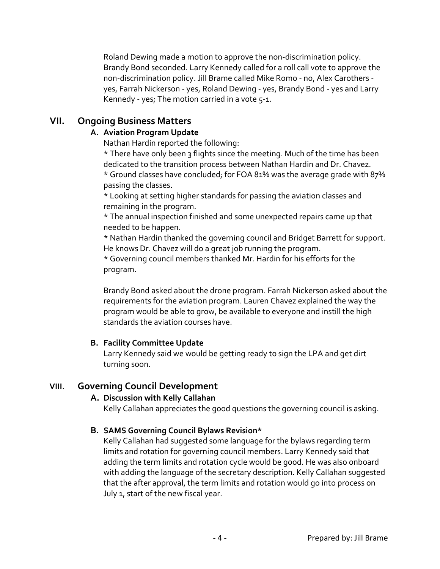Roland Dewing made a motion to approve the non-discrimination policy. Brandy Bond seconded. Larry Kennedy called for a roll call vote to approve the non-discrimination policy. Jill Brame called Mike Romo - no, Alex Carothers yes, Farrah Nickerson - yes, Roland Dewing - yes, Brandy Bond - yes and Larry Kennedy - yes; The motion carried in a vote 5-1.

# **VII. Ongoing Business Matters**

## **A. Aviation Program Update**

Nathan Hardin reported the following:

\* There have only been 3 flights since the meeting. Much of the time has been dedicated to the transition process between Nathan Hardin and Dr. Chavez.

\* Ground classes have concluded; for FOA 81% was the average grade with 87% passing the classes.

\* Looking at setting higher standards for passing the aviation classes and remaining in the program.

\* The annual inspection finished and some unexpected repairs came up that needed to be happen.

\* Nathan Hardin thanked the governing council and Bridget Barrett for support. He knows Dr. Chavez will do a great job running the program.

\* Governing council members thanked Mr. Hardin for his efforts for the program.

Brandy Bond asked about the drone program. Farrah Nickerson asked about the requirements for the aviation program. Lauren Chavez explained the way the program would be able to grow, be available to everyone and instill the high standards the aviation courses have.

## **B. Facility Committee Update**

Larry Kennedy said we would be getting ready to sign the LPA and get dirt turning soon.

# **VIII. Governing Council Development**

## **A. Discussion with Kelly Callahan**

Kelly Callahan appreciates the good questions the governing council is asking.

## **B. SAMS Governing Council Bylaws Revision\***

Kelly Callahan had suggested some language for the bylaws regarding term limits and rotation for governing council members. Larry Kennedy said that adding the term limits and rotation cycle would be good. He was also onboard with adding the language of the secretary description. Kelly Callahan suggested that the after approval, the term limits and rotation would go into process on July 1, start of the new fiscal year.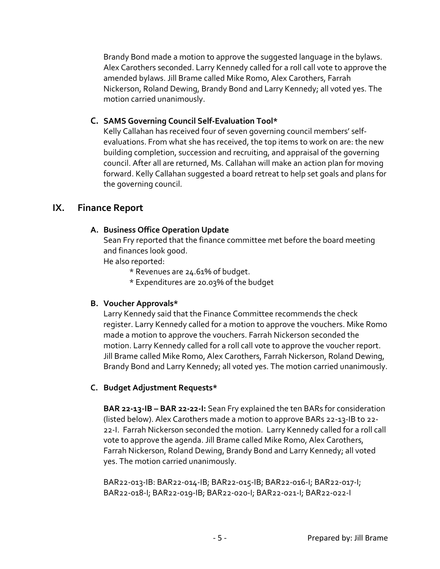Brandy Bond made a motion to approve the suggested language in the bylaws. Alex Carothers seconded. Larry Kennedy called for a roll call vote to approve the amended bylaws. Jill Brame called Mike Romo, Alex Carothers, Farrah Nickerson, Roland Dewing, Brandy Bond and Larry Kennedy; all voted yes. The motion carried unanimously.

## **C. SAMS Governing Council Self-Evaluation Tool\***

Kelly Callahan has received four of seven governing council members' selfevaluations. From what she has received, the top items to work on are: the new building completion, succession and recruiting, and appraisal of the governing council. After all are returned, Ms. Callahan will make an action plan for moving forward. Kelly Callahan suggested a board retreat to help set goals and plans for the governing council.

## **IX. Finance Report**

#### **A. Business Office Operation Update**

Sean Fry reported that the finance committee met before the board meeting and finances look good.

He also reported:

- \* Revenues are 24.61% of budget.
- \* Expenditures are 20.03% of the budget

## **B. Voucher Approvals\***

Larry Kennedy said that the Finance Committee recommends the check register. Larry Kennedy called for a motion to approve the vouchers. Mike Romo made a motion to approve the vouchers. Farrah Nickerson seconded the motion. Larry Kennedy called for a roll call vote to approve the voucher report. Jill Brame called Mike Romo, Alex Carothers, Farrah Nickerson, Roland Dewing, Brandy Bond and Larry Kennedy; all voted yes. The motion carried unanimously.

## **C. Budget Adjustment Requests\***

**BAR 22-13-IB – BAR 22-22-I:** Sean Fry explained the ten BARs for consideration (listed below). Alex Carothers made a motion to approve BARs 22-13-IB to 22- 22-I. Farrah Nickerson seconded the motion. Larry Kennedy called for a roll call vote to approve the agenda. Jill Brame called Mike Romo, Alex Carothers, Farrah Nickerson, Roland Dewing, Brandy Bond and Larry Kennedy; all voted yes. The motion carried unanimously.

BAR22-013-IB: BAR22-014-IB; BAR22-015-IB; BAR22-016-I; BAR22-017-I; BAR22-018-I; BAR22-019-IB; BAR22-020-I; BAR22-021-I; BAR22-022-I